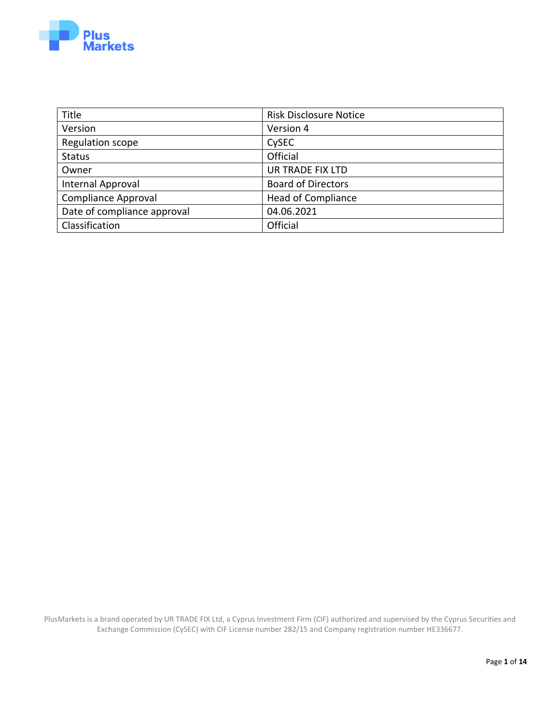

| <b>Title</b>                | <b>Risk Disclosure Notice</b> |
|-----------------------------|-------------------------------|
| Version                     | Version 4                     |
| Regulation scope            | CySEC                         |
| <b>Status</b>               | Official                      |
| Owner                       | UR TRADE FIX LTD              |
| Internal Approval           | <b>Board of Directors</b>     |
| <b>Compliance Approval</b>  | <b>Head of Compliance</b>     |
| Date of compliance approval | 04.06.2021                    |
| Classification              | Official                      |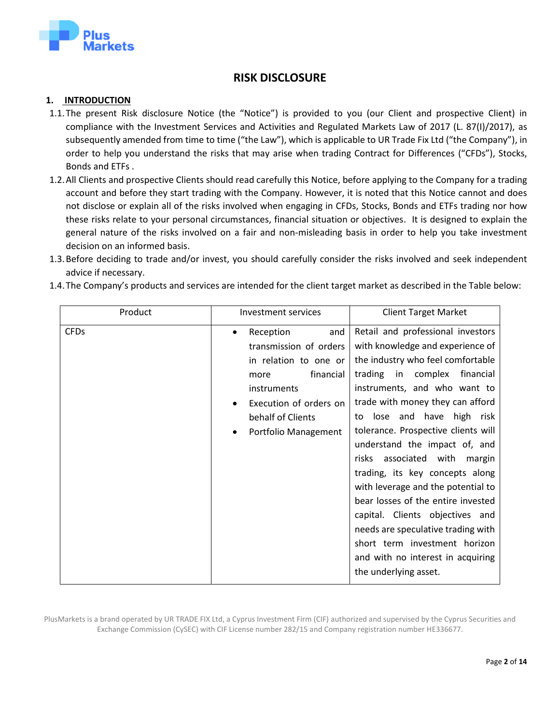

# **RISK DISCLOSURE**

#### **1. INTRODUCTION**

- 1.1.The present Risk disclosure Notice (the "Notice") is provided to you (our Client and prospective Client) in compliance with the Investment Services and Activities and Regulated Markets Law of 2017 (L. 87(Ι)/2017), as subsequently amended from time to time ("the Law"), which is applicable to UR Trade Fix Ltd ("the Company"), in order to help you understand the risks that may arise when trading Contract for Differences ("CFDs"), Stocks, Bonds and ETFs .
- 1.2.All Clients and prospective Clients should read carefully this Notice, before applying to the Company for a trading account and before they start trading with the Company. However, it is noted that this Notice cannot and does not disclose or explain all of the risks involved when engaging in CFDs, Stocks, Bonds and ETFs trading nor how these risks relate to your personal circumstances, financial situation or objectives. It is designed to explain the general nature of the risks involved on a fair and non-misleading basis in order to help you take investment decision on an informed basis.
- 1.3.Before deciding to trade and/or invest, you should carefully consider the risks involved and seek independent advice if necessary.

| Product     | <b>Investment services</b>                                                                                                                                                          | <b>Client Target Market</b>                                                                                                                                                                                                                                                                                                                                                                                                                                                                                                                                                                                                                                 |
|-------------|-------------------------------------------------------------------------------------------------------------------------------------------------------------------------------------|-------------------------------------------------------------------------------------------------------------------------------------------------------------------------------------------------------------------------------------------------------------------------------------------------------------------------------------------------------------------------------------------------------------------------------------------------------------------------------------------------------------------------------------------------------------------------------------------------------------------------------------------------------------|
| <b>CFDs</b> | Reception<br>and<br>٠<br>transmission of orders<br>in relation to one or<br>financial<br>more<br>instruments<br>Execution of orders on<br>behalf of Clients<br>Portfolio Management | Retail and professional investors<br>with knowledge and experience of<br>the industry who feel comfortable<br>trading in complex<br>financial<br>instruments, and who want to<br>trade with money they can afford<br>to lose and have high risk<br>tolerance. Prospective clients will<br>understand the impact of, and<br>associated with<br><b>risks</b><br>margin<br>trading, its key concepts along<br>with leverage and the potential to<br>bear losses of the entire invested<br>capital. Clients objectives and<br>needs are speculative trading with<br>short term investment horizon<br>and with no interest in acquiring<br>the underlying asset. |

1.4.The Company's products and services are intended for the client target market as described in the Table below: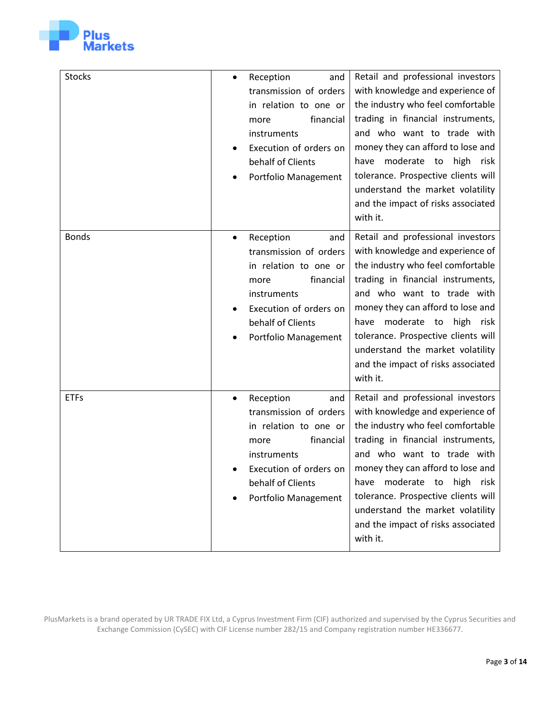

| Stocks       | Reception<br>and<br>$\bullet$<br>transmission of orders<br>in relation to one or<br>financial<br>more<br>instruments<br>Execution of orders on<br>behalf of Clients<br>Portfolio Management | Retail and professional investors<br>with knowledge and experience of<br>the industry who feel comfortable<br>trading in financial instruments,<br>and who want to trade with<br>money they can afford to lose and<br>moderate to<br>high risk<br>have<br>tolerance. Prospective clients will<br>understand the market volatility<br>and the impact of risks associated<br>with it.    |
|--------------|---------------------------------------------------------------------------------------------------------------------------------------------------------------------------------------------|----------------------------------------------------------------------------------------------------------------------------------------------------------------------------------------------------------------------------------------------------------------------------------------------------------------------------------------------------------------------------------------|
| <b>Bonds</b> | Reception<br>and<br>$\bullet$<br>transmission of orders<br>in relation to one or<br>financial<br>more<br>instruments<br>Execution of orders on<br>behalf of Clients<br>Portfolio Management | Retail and professional investors<br>with knowledge and experience of<br>the industry who feel comfortable<br>trading in financial instruments,<br>and who want to trade with<br>money they can afford to lose and<br>moderate to<br>high<br>have<br>risk<br>tolerance. Prospective clients will<br>understand the market volatility<br>and the impact of risks associated<br>with it. |
| <b>ETFs</b>  | Reception<br>and<br>$\bullet$<br>transmission of orders<br>in relation to one or<br>financial<br>more<br>instruments<br>Execution of orders on<br>behalf of Clients<br>Portfolio Management | Retail and professional investors<br>with knowledge and experience of<br>the industry who feel comfortable<br>trading in financial instruments,<br>and who want to trade with<br>money they can afford to lose and<br>have<br>moderate to<br>high<br>risk<br>tolerance. Prospective clients will<br>understand the market volatility<br>and the impact of risks associated<br>with it. |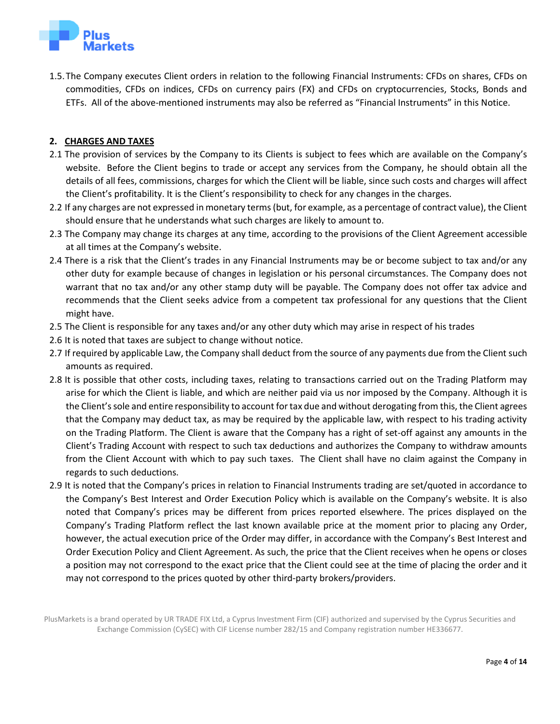

1.5.The Company executes Client orders in relation to the following Financial Instruments: CFDs on shares, CFDs on commodities, CFDs on indices, CFDs on currency pairs (FX) and CFDs on cryptocurrencies, Stocks, Bonds and ETFs. All of the above-mentioned instruments may also be referred as "Financial Instruments" in this Notice.

## **2. CHARGES AND TAXES**

- 2.1 The provision of services by the Company to its Clients is subject to fees which are available on the Company's website. Before the Client begins to trade or accept any services from the Company, he should obtain all the details of all fees, commissions, charges for which the Client will be liable, since such costs and charges will affect the Client's profitability. It is the Client's responsibility to check for any changes in the charges.
- 2.2 If any charges are not expressed in monetary terms (but, for example, as a percentage of contract value), the Client should ensure that he understands what such charges are likely to amount to.
- 2.3 The Company may change its charges at any time, according to the provisions of the Client Agreement accessible at all times at the Company's website.
- 2.4 There is a risk that the Client's trades in any Financial Instruments may be or become subject to tax and/or any other duty for example because of changes in legislation or his personal circumstances. The Company does not warrant that no tax and/or any other stamp duty will be payable. The Company does not offer tax advice and recommends that the Client seeks advice from a competent tax professional for any questions that the Client might have.
- 2.5 The Client is responsible for any taxes and/or any other duty which may arise in respect of his trades
- 2.6 It is noted that taxes are subject to change without notice.
- 2.7 If required by applicable Law, the Company shall deduct from the source of any payments due from the Client such amounts as required.
- 2.8 It is possible that other costs, including taxes, relating to transactions carried out on the Trading Platform may arise for which the Client is liable, and which are neither paid via us nor imposed by the Company. Although it is the Client's sole and entire responsibility to account for tax due and without derogating from this, the Client agrees that the Company may deduct tax, as may be required by the applicable law, with respect to his trading activity on the Trading Platform. The Client is aware that the Company has a right of set-off against any amounts in the Client's Trading Account with respect to such tax deductions and authorizes the Company to withdraw amounts from the Client Account with which to pay such taxes. The Client shall have no claim against the Company in regards to such deductions.
- 2.9 It is noted that the Company's prices in relation to Financial Instruments trading are set/quoted in accordance to the Company's Best Interest and Order Execution Policy which is available on the Company's website. It is also noted that Company's prices may be different from prices reported elsewhere. The prices displayed on the Company's Trading Platform reflect the last known available price at the moment prior to placing any Order, however, the actual execution price of the Order may differ, in accordance with the Company's Best Interest and Order Execution Policy and Client Agreement. As such, the price that the Client receives when he opens or closes a position may not correspond to the exact price that the Client could see at the time of placing the order and it may not correspond to the prices quoted by other third-party brokers/providers.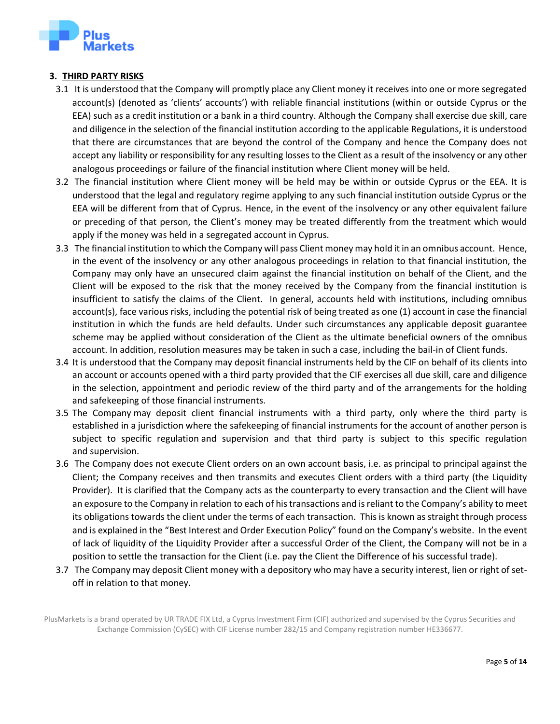

## **3. THIRD PARTY RISKS**

- 3.1 It is understood that the Company will promptly place any Client money it receives into one or more segregated account(s) (denoted as 'clients' accounts') with reliable financial institutions (within or outside Cyprus or the EEA) such as a credit institution or a bank in a third country. Although the Company shall exercise due skill, care and diligence in the selection of the financial institution according to the applicable Regulations, it is understood that there are circumstances that are beyond the control of the Company and hence the Company does not accept any liability or responsibility for any resulting losses to the Client as a result of the insolvency or any other analogous proceedings or failure of the financial institution where Client money will be held.
- 3.2 The financial institution where Client money will be held may be within or outside Cyprus or the EEA. It is understood that the legal and regulatory regime applying to any such financial institution outside Cyprus or the EEA will be different from that of Cyprus. Hence, in the event of the insolvency or any other equivalent failure or preceding of that person, the Client's money may be treated differently from the treatment which would apply if the money was held in a segregated account in Cyprus.
- 3.3 The financial institution to which the Company will pass Client money may hold it in an omnibus account. Hence, in the event of the insolvency or any other analogous proceedings in relation to that financial institution, the Company may only have an unsecured claim against the financial institution on behalf of the Client, and the Client will be exposed to the risk that the money received by the Company from the financial institution is insufficient to satisfy the claims of the Client. In general, accounts held with institutions, including omnibus account(s), face various risks, including the potential risk of being treated as one (1) account in case the financial institution in which the funds are held defaults. Under such circumstances any applicable deposit guarantee scheme may be applied without consideration of the Client as the ultimate beneficial owners of the omnibus account. In addition, resolution measures may be taken in such a case, including the bail-in of Client funds.
- 3.4 It is understood that the Company may deposit financial instruments held by the CIF on behalf of its clients into an account or accounts opened with a third party provided that the CIF exercises all due skill, care and diligence in the selection, appointment and periodic review of the third party and of the arrangements for the holding and safekeeping of those financial instruments.
- 3.5 The Company may deposit client financial instruments with a third party, only where the third party is established in a jurisdiction where the safekeeping of financial instruments for the account of another person is subject to specific regulation and supervision and that third party is subject to this specific regulation and supervision.
- 3.6 The Company does not execute Client orders on an own account basis, i.e. as principal to principal against the Client; the Company receives and then transmits and executes Client orders with a third party (the Liquidity Provider). It is clarified that the Company acts as the counterparty to every transaction and the Client will have an exposure to the Company in relation to each of histransactions and is reliant to the Company's ability to meet its obligations towards the client under the terms of each transaction. This is known as straight through process and is explained in the "Best Interest and Order Execution Policy" found on the Company's website. In the event of lack of liquidity of the Liquidity Provider after a successful Order of the Client, the Company will not be in a position to settle the transaction for the Client (i.e. pay the Client the Difference of his successful trade).
- 3.7 The Company may deposit Client money with a depository who may have a security interest, lien or right of setoff in relation to that money.

PlusMarkets is a brand operated by UR TRADE FIX Ltd, a Cyprus Investment Firm (CIF) authorized and supervised by the Cyprus Securities and Exchange Commission (CySEC) with CIF License number 282/15 and Company registration number HE336677.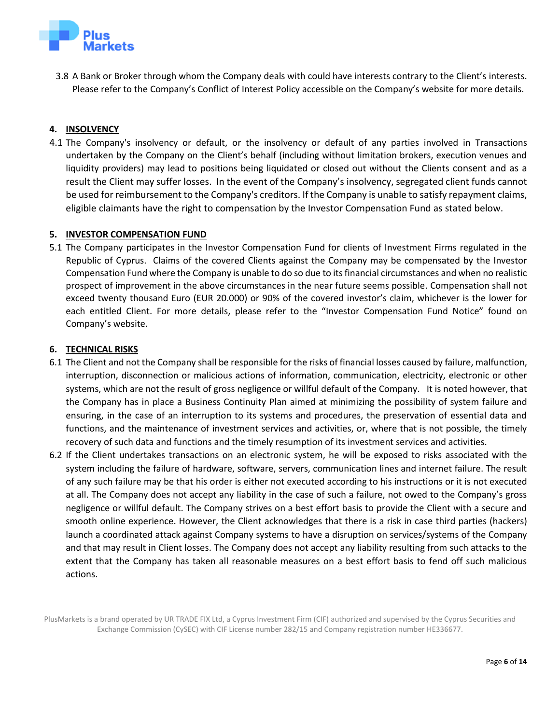

3.8 A Bank or Broker through whom the Company deals with could have interests contrary to the Client's interests. Please refer to the Company's Conflict of Interest Policy accessible on the Company's website for more details.

# **4. INSOLVENCY**

4.1 The Company's insolvency or default, or the insolvency or default of any parties involved in Transactions undertaken by the Company on the Client's behalf (including without limitation brokers, execution venues and liquidity providers) may lead to positions being liquidated or closed out without the Clients consent and as a result the Client may suffer losses. In the event of the Company's insolvency, segregated client funds cannot be used for reimbursement to the Company's creditors. If the Company is unable to satisfy repayment claims, eligible claimants have the right to compensation by the Investor Compensation Fund as stated below.

#### **5. INVESTOR COMPENSATION FUND**

5.1 The Company participates in the Investor Compensation Fund for clients of Investment Firms regulated in the Republic of Cyprus. Claims of the covered Clients against the Company may be compensated by the Investor Compensation Fund where the Company is unable to do so due to its financial circumstances and when no realistic prospect of improvement in the above circumstances in the near future seems possible. Compensation shall not exceed twenty thousand Euro (EUR 20.000) or 90% of the covered investor's claim, whichever is the lower for each entitled Client. For more details, please refer to the "Investor Compensation Fund Notice" found on Company's website.

#### **6. TECHNICAL RISKS**

- 6.1 The Client and not the Company shall be responsible for the risks of financial losses caused by failure, malfunction, interruption, disconnection or malicious actions of information, communication, electricity, electronic or other systems, which are not the result of gross negligence or willful default of the Company. It is noted however, that the Company has in place a Business Continuity Plan aimed at minimizing the possibility of system failure and ensuring, in the case of an interruption to its systems and procedures, the preservation of essential data and functions, and the maintenance of investment services and activities, or, where that is not possible, the timely recovery of such data and functions and the timely resumption of its investment services and activities.
- 6.2 If the Client undertakes transactions on an electronic system, he will be exposed to risks associated with the system including the failure of hardware, software, servers, communication lines and internet failure. The result of any such failure may be that his order is either not executed according to his instructions or it is not executed at all. The Company does not accept any liability in the case of such a failure, not owed to the Company's gross negligence or willful default. The Company strives on a best effort basis to provide the Client with a secure and smooth online experience. However, the Client acknowledges that there is a risk in case third parties (hackers) launch a coordinated attack against Company systems to have a disruption on services/systems of the Company and that may result in Client losses. The Company does not accept any liability resulting from such attacks to the extent that the Company has taken all reasonable measures on a best effort basis to fend off such malicious actions.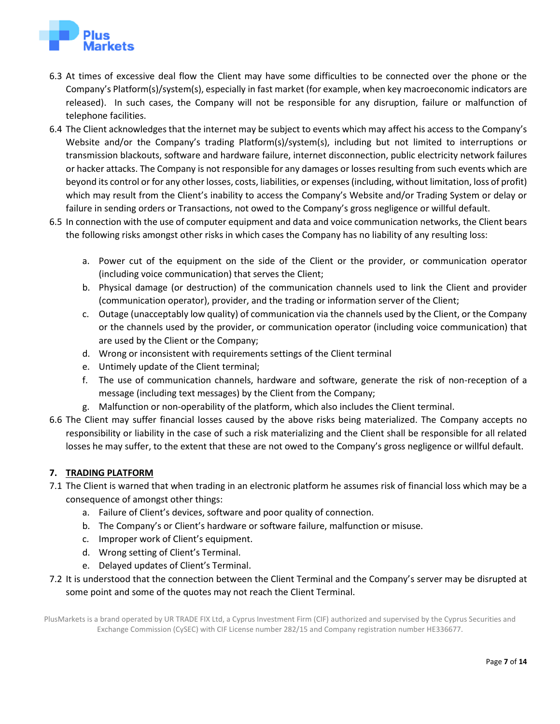

- 6.3 At times of excessive deal flow the Client may have some difficulties to be connected over the phone or the Company's Platform(s)/system(s), especially in fast market (for example, when key macroeconomic indicators are released). In such cases, the Company will not be responsible for any disruption, failure or malfunction of telephone facilities.
- 6.4 The Client acknowledges that the internet may be subject to events which may affect his access to the Company's Website and/or the Company's trading Platform(s)/system(s), including but not limited to interruptions or transmission blackouts, software and hardware failure, internet disconnection, public electricity network failures or hacker attacks. The Company is not responsible for any damages or losses resulting from such events which are beyond its control or for any other losses, costs, liabilities, or expenses (including, without limitation, loss of profit) which may result from the Client's inability to access the Company's Website and/or Trading System or delay or failure in sending orders or Transactions, not owed to the Company's gross negligence or willful default.
- 6.5 In connection with the use of computer equipment and data and voice communication networks, the Client bears the following risks amongst other risks in which cases the Company has no liability of any resulting loss:
	- a. Power cut of the equipment on the side of the Client or the provider, or communication operator (including voice communication) that serves the Client;
	- b. Physical damage (or destruction) of the communication channels used to link the Client and provider (communication operator), provider, and the trading or information server of the Client;
	- c. Outage (unacceptably low quality) of communication via the channels used by the Client, or the Company or the channels used by the provider, or communication operator (including voice communication) that are used by the Client or the Company;
	- d. Wrong or inconsistent with requirements settings of the Client terminal
	- e. Untimely update of the Client terminal;
	- f. The use of communication channels, hardware and software, generate the risk of non-reception of a message (including text messages) by the Client from the Company;
	- g. Malfunction or non-operability of the platform, which also includes the Client terminal.
- 6.6 The Client may suffer financial losses caused by the above risks being materialized. The Company accepts no responsibility or liability in the case of such a risk materializing and the Client shall be responsible for all related losses he may suffer, to the extent that these are not owed to the Company's gross negligence or willful default.

# **7. TRADING PLATFORM**

- 7.1 The Client is warned that when trading in an electronic platform he assumes risk of financial loss which may be a consequence of amongst other things:
	- a. Failure of Client's devices, software and poor quality of connection.
	- b. The Company's or Client's hardware or software failure, malfunction or misuse.
	- c. Improper work of Client's equipment.
	- d. Wrong setting of Client's Terminal.
	- e. Delayed updates of Client's Terminal.
- 7.2 It is understood that the connection between the Client Terminal and the Company's server may be disrupted at some point and some of the quotes may not reach the Client Terminal.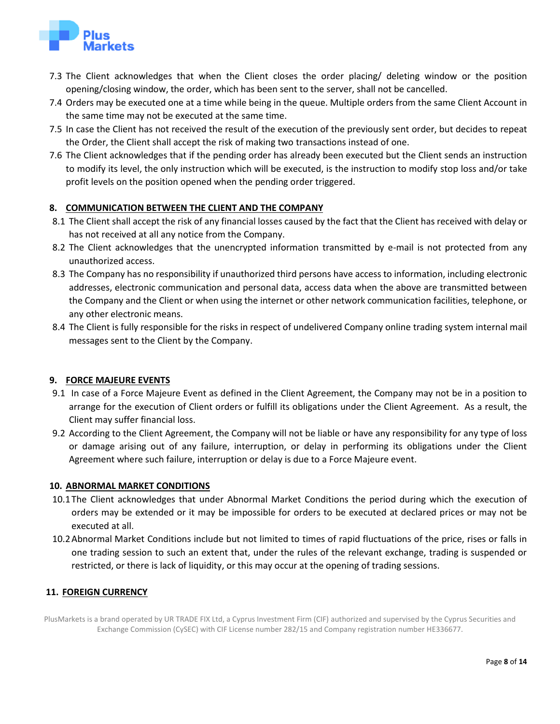

- 7.3 The Client acknowledges that when the Client closes the order placing/ deleting window or the position opening/closing window, the order, which has been sent to the server, shall not be cancelled.
- 7.4 Orders may be executed one at a time while being in the queue. Multiple orders from the same Client Account in the same time may not be executed at the same time.
- 7.5 In case the Client has not received the result of the execution of the previously sent order, but decides to repeat the Order, the Client shall accept the risk of making two transactions instead of one.
- 7.6 The Client acknowledges that if the pending order has already been executed but the Client sends an instruction to modify its level, the only instruction which will be executed, is the instruction to modify stop loss and/or take profit levels on the position opened when the pending order triggered.

# **8. COMMUNICATION BETWEEN THE CLIENT AND THE COMPANY**

- 8.1 The Client shall accept the risk of any financial losses caused by the fact that the Client has received with delay or has not received at all any notice from the Company.
- 8.2 The Client acknowledges that the unencrypted information transmitted by e-mail is not protected from any unauthorized access.
- 8.3 The Company has no responsibility if unauthorized third persons have access to information, including electronic addresses, electronic communication and personal data, access data when the above are transmitted between the Company and the Client or when using the internet or other network communication facilities, telephone, or any other electronic means.
- 8.4 The Client is fully responsible for the risks in respect of undelivered Company online trading system internal mail messages sent to the Client by the Company.

# **9. FORCE MAJEURE EVENTS**

- 9.1 In case of a Force Majeure Event as defined in the Client Agreement, the Company may not be in a position to arrange for the execution of Client orders or fulfill its obligations under the Client Agreement. As a result, the Client may suffer financial loss.
- 9.2 According to the Client Agreement, the Company will not be liable or have any responsibility for any type of loss or damage arising out of any failure, interruption, or delay in performing its obligations under the Client Agreement where such failure, interruption or delay is due to a Force Majeure event.

#### **10. ABNORMAL MARKET CONDITIONS**

- 10.1The Client acknowledges that under Abnormal Market Conditions the period during which the execution of orders may be extended or it may be impossible for orders to be executed at declared prices or may not be executed at all.
- 10.2Abnormal Market Conditions include but not limited to times of rapid fluctuations of the price, rises or falls in one trading session to such an extent that, under the rules of the relevant exchange, trading is suspended or restricted, or there is lack of liquidity, or this may occur at the opening of trading sessions.

# **11. FOREIGN CURRENCY**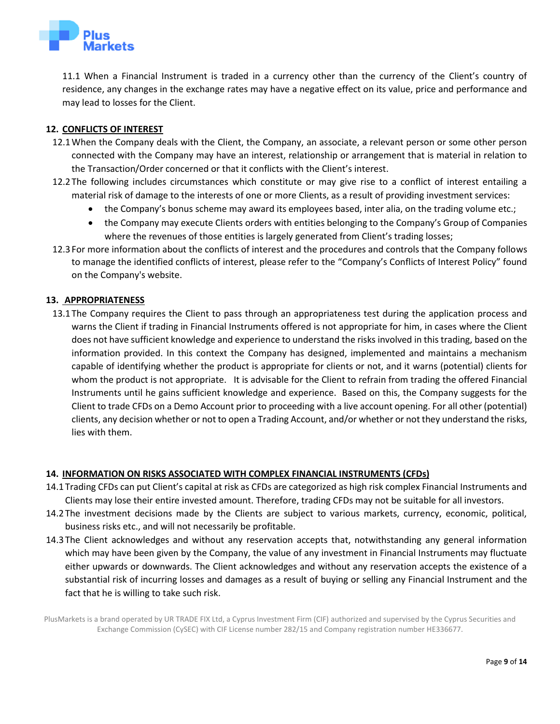

11.1 When a Financial Instrument is traded in a currency other than the currency of the Client's country of residence, any changes in the exchange rates may have a negative effect on its value, price and performance and may lead to losses for the Client.

# **12. CONFLICTS OF INTEREST**

- 12.1When the Company deals with the Client, the Company, an associate, a relevant person or some other person connected with the Company may have an interest, relationship or arrangement that is material in relation to the Transaction/Order concerned or that it conflicts with the Client's interest.
- 12.2The following includes circumstances which constitute or may give rise to a conflict of interest entailing a material risk of damage to the interests of one or more Clients, as a result of providing investment services:
	- the Company's bonus scheme may award its employees based, inter alia, on the trading volume etc.;
	- the Company may execute Clients orders with entities belonging to the Company's Group of Companies where the revenues of those entities is largely generated from Client's trading losses;
- 12.3For more information about the conflicts of interest and the procedures and controls that the Company follows to manage the identified conflicts of interest, please refer to the "Company's Conflicts of Interest Policy" found on the Company's website.

#### **13. APPROPRIATENESS**

13.1The Company requires the Client to pass through an appropriateness test during the application process and warns the Client if trading in Financial Instruments offered is not appropriate for him, in cases where the Client does not have sufficient knowledge and experience to understand the risks involved in this trading, based on the information provided. In this context the Company has designed, implemented and maintains a mechanism capable of identifying whether the product is appropriate for clients or not, and it warns (potential) clients for whom the product is not appropriate. It is advisable for the Client to refrain from trading the offered Financial Instruments until he gains sufficient knowledge and experience. Based on this, the Company suggests for the Client to trade CFDs on a Demo Account prior to proceeding with a live account opening. For all other (potential) clients, any decision whether or not to open a Trading Account, and/or whether or not they understand the risks, lies with them.

## **14. INFORMATION ON RISKS ASSOCIATED WITH COMPLEX FINANCIAL INSTRUMENTS (CFDs)**

- 14.1Trading CFDs can put Client's capital at risk as CFDs are categorized as high risk complex Financial Instruments and Clients may lose their entire invested amount. Therefore, trading CFDs may not be suitable for all investors.
- 14.2The investment decisions made by the Clients are subject to various markets, currency, economic, political, business risks etc., and will not necessarily be profitable.
- 14.3The Client acknowledges and without any reservation accepts that, notwithstanding any general information which may have been given by the Company, the value of any investment in Financial Instruments may fluctuate either upwards or downwards. The Client acknowledges and without any reservation accepts the existence of a substantial risk of incurring losses and damages as a result of buying or selling any Financial Instrument and the fact that he is willing to take such risk.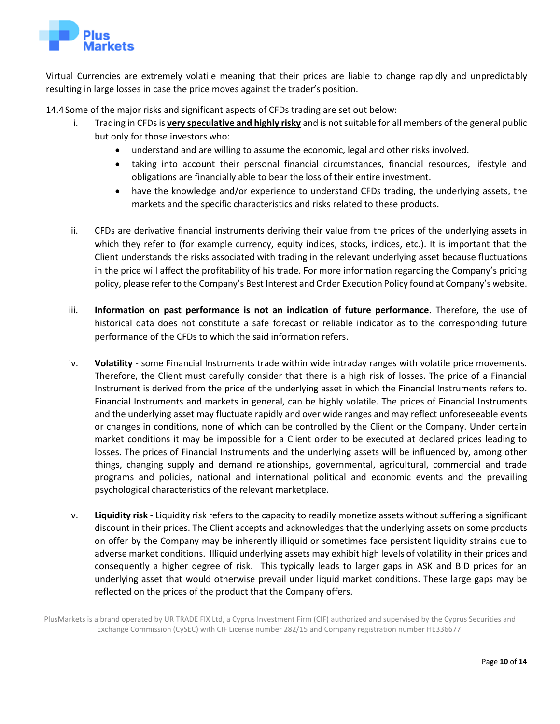

Virtual Currencies are extremely volatile meaning that their prices are liable to change rapidly and unpredictably resulting in large losses in case the price moves against the trader's position.

14.4Some of the major risks and significant aspects of CFDs trading are set out below:

- i. Trading in CFDs is **very speculative and highly risky** and is not suitable for all members of the general public but only for those investors who:
	- understand and are willing to assume the economic, legal and other risks involved.
	- taking into account their personal financial circumstances, financial resources, lifestyle and obligations are financially able to bear the loss of their entire investment.
	- have the knowledge and/or experience to understand CFDs trading, the underlying assets, the markets and the specific characteristics and risks related to these products.
- ii. CFDs are derivative financial instruments deriving their value from the prices of the underlying assets in which they refer to (for example currency, equity indices, stocks, indices, etc.). It is important that the Client understands the risks associated with trading in the relevant underlying asset because fluctuations in the price will affect the profitability of his trade. For more information regarding the Company's pricing policy, please refer to the Company's Best Interest and Order Execution Policy found at Company's website.
- iii. **Information on past performance is not an indication of future performance**. Therefore, the use of historical data does not constitute a safe forecast or reliable indicator as to the corresponding future performance of the CFDs to which the said information refers.
- iv. **Volatility** some Financial Instruments trade within wide intraday ranges with volatile price movements. Therefore, the Client must carefully consider that there is a high risk of losses. The price of a Financial Instrument is derived from the price of the underlying asset in which the Financial Instruments refers to. Financial Instruments and markets in general, can be highly volatile. The prices of Financial Instruments and the underlying asset may fluctuate rapidly and over wide ranges and may reflect unforeseeable events or changes in conditions, none of which can be controlled by the Client or the Company. Under certain market conditions it may be impossible for a Client order to be executed at declared prices leading to losses. The prices of Financial Instruments and the underlying assets will be influenced by, among other things, changing supply and demand relationships, governmental, agricultural, commercial and trade programs and policies, national and international political and economic events and the prevailing psychological characteristics of the relevant marketplace.
- v. **Liquidity risk -** Liquidity risk refers to the capacity to readily monetize assets without suffering a significant discount in their prices. The Client accepts and acknowledges that the underlying assets on some products on offer by the Company may be inherently illiquid or sometimes face persistent liquidity strains due to adverse market conditions. Illiquid underlying assets may exhibit high levels of volatility in their prices and consequently a higher degree of risk. This typically leads to larger gaps in ASK and BID prices for an underlying asset that would otherwise prevail under liquid market conditions. These large gaps may be reflected on the prices of the product that the Company offers.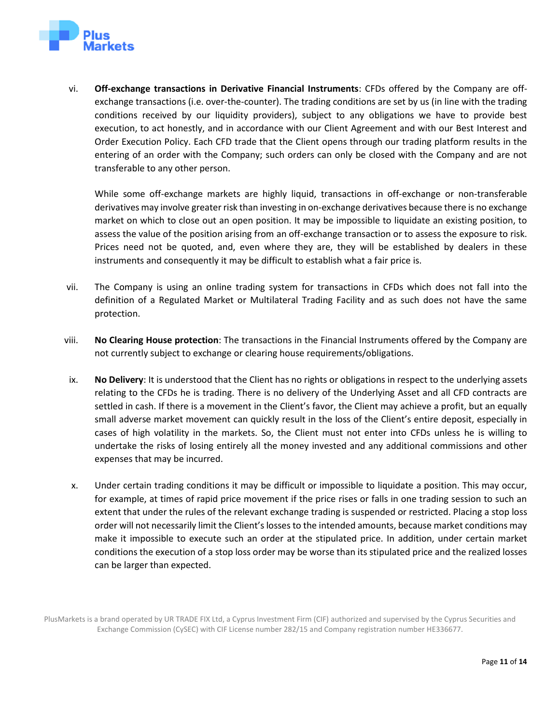

vi. **Off-exchange transactions in Derivative Financial Instruments**: CFDs offered by the Company are offexchange transactions (i.e. over-the-counter). The trading conditions are set by us (in line with the trading conditions received by our liquidity providers), subject to any obligations we have to provide best execution, to act honestly, and in accordance with our Client Agreement and with our Best Interest and Order Execution Policy. Each CFD trade that the Client opens through our trading platform results in the entering of an order with the Company; such orders can only be closed with the Company and are not transferable to any other person.

While some off-exchange markets are highly liquid, transactions in off-exchange or non-transferable derivatives may involve greater risk than investing in on-exchange derivatives because there is no exchange market on which to close out an open position. It may be impossible to liquidate an existing position, to assess the value of the position arising from an off-exchange transaction or to assess the exposure to risk. Prices need not be quoted, and, even where they are, they will be established by dealers in these instruments and consequently it may be difficult to establish what a fair price is.

- vii. The Company is using an online trading system for transactions in CFDs which does not fall into the definition of a Regulated Market or Multilateral Trading Facility and as such does not have the same protection.
- viii. **No Clearing House protection**: The transactions in the Financial Instruments offered by the Company are not currently subject to exchange or clearing house requirements/obligations.
- ix. **No Delivery**: It is understood that the Client has no rights or obligations in respect to the underlying assets relating to the CFDs he is trading. There is no delivery of the Underlying Asset and all CFD contracts are settled in cash. If there is a movement in the Client's favor, the Client may achieve a profit, but an equally small adverse market movement can quickly result in the loss of the Client's entire deposit, especially in cases of high volatility in the markets. So, the Client must not enter into CFDs unless he is willing to undertake the risks of losing entirely all the money invested and any additional commissions and other expenses that may be incurred.
- x. Under certain trading conditions it may be difficult or impossible to liquidate a position. This may occur, for example, at times of rapid price movement if the price rises or falls in one trading session to such an extent that under the rules of the relevant exchange trading is suspended or restricted. Placing a stop loss order will not necessarily limit the Client's losses to the intended amounts, because market conditions may make it impossible to execute such an order at the stipulated price. In addition, under certain market conditions the execution of a stop loss order may be worse than its stipulated price and the realized losses can be larger than expected.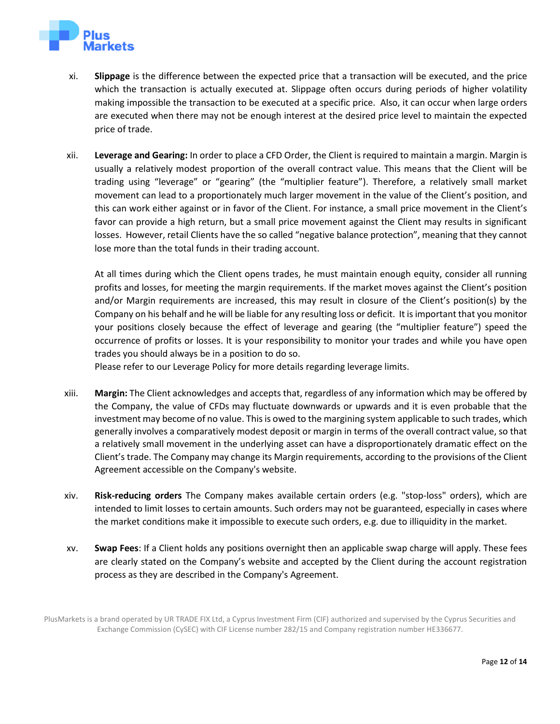

- xi. **Slippage** is the difference between the expected price that a transaction will be executed, and the price which the transaction is actually executed at. Slippage often occurs during periods of higher volatility making impossible the transaction to be executed at a specific price. Also, it can occur when large orders are executed when there may not be enough interest at the desired price level to maintain the expected price of trade.
- xii. **Leverage and Gearing:** In order to place a CFD Order, the Client is required to maintain a margin. Margin is usually a relatively modest proportion of the overall contract value. This means that the Client will be trading using "leverage" or "gearing" (the "multiplier feature"). Therefore, a relatively small market movement can lead to a proportionately much larger movement in the value of the Client's position, and this can work either against or in favor of the Client. For instance, a small price movement in the Client's favor can provide a high return, but a small price movement against the Client may results in significant losses. However, retail Clients have the so called "negative balance protection", meaning that they cannot lose more than the total funds in their trading account.

At all times during which the Client opens trades, he must maintain enough equity, consider all running profits and losses, for meeting the margin requirements. If the market moves against the Client's position and/or Margin requirements are increased, this may result in closure of the Client's position(s) by the Company on his behalf and he will be liable for any resulting loss or deficit. It is important that you monitor your positions closely because the effect of leverage and gearing (the "multiplier feature") speed the occurrence of profits or losses. It is your responsibility to monitor your trades and while you have open trades you should always be in a position to do so.

Please refer to our Leverage Policy for more details regarding leverage limits.

- xiii. **Margin:** The Client acknowledges and accepts that, regardless of any information which may be offered by the Company, the value of CFDs may fluctuate downwards or upwards and it is even probable that the investment may become of no value. This is owed to the margining system applicable to such trades, which generally involves a comparatively modest deposit or margin in terms of the overall contract value, so that a relatively small movement in the underlying asset can have a disproportionately dramatic effect on the Client's trade. The Company may change its Margin requirements, according to the provisions of the Client Agreement accessible on the Company's website.
- xiv. **Risk-reducing orders** The Company makes available certain orders (e.g. "stop-loss" orders), which are intended to limit losses to certain amounts. Such orders may not be guaranteed, especially in cases where the market conditions make it impossible to execute such orders, e.g. due to illiquidity in the market.
- xv. **Swap Fees**: If a Client holds any positions overnight then an applicable swap charge will apply. These fees are clearly stated on the Company's website and accepted by the Client during the account registration process as they are described in the Company's Agreement.

PlusMarkets is a brand operated by UR TRADE FIX Ltd, a Cyprus Investment Firm (CIF) authorized and supervised by the Cyprus Securities and Exchange Commission (CySEC) with CIF License number 282/15 and Company registration number HE336677.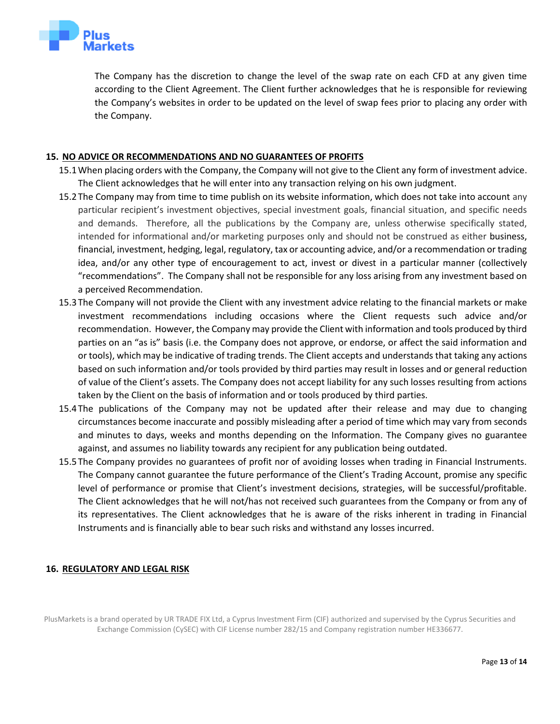

The Company has the discretion to change the level of the swap rate on each CFD at any given time according to the Client Agreement. The Client further acknowledges that he is responsible for reviewing the Company's websites in order to be updated on the level of swap fees prior to placing any order with the Company.

## **15. NO ADVICE OR RECOMMENDATIONS AND NO GUARANTEES OF PROFITS**

- 15.1When placing orders with the Company, the Company will not give to the Client any form of investment advice. The Client acknowledges that he will enter into any transaction relying on his own judgment.
- 15.2The Company may from time to time publish on its website information, which does not take into account any particular recipient's investment objectives, special investment goals, financial situation, and specific needs and demands. Therefore, all the publications by the Company are, unless otherwise specifically stated, intended for informational and/or marketing purposes only and should not be construed as either business, financial, investment, hedging, legal, regulatory, tax or accounting advice, and/or a recommendation or trading idea, and/or any other type of encouragement to act, invest or divest in a particular manner (collectively "recommendations". The Company shall not be responsible for any loss arising from any investment based on a perceived Recommendation.
- 15.3The Company will not provide the Client with any investment advice relating to the financial markets or make investment recommendations including occasions where the Client requests such advice and/or recommendation. However, the Company may provide the Client with information and tools produced by third parties on an "as is" basis (i.e. the Company does not approve, or endorse, or affect the said information and or tools), which may be indicative of trading trends. The Client accepts and understands that taking any actions based on such information and/or tools provided by third parties may result in losses and or general reduction of value of the Client's assets. The Company does not accept liability for any such losses resulting from actions taken by the Client on the basis of information and or tools produced by third parties.
- 15.4The publications of the Company may not be updated after their release and may due to changing circumstances become inaccurate and possibly misleading after a period of time which may vary from seconds and minutes to days, weeks and months depending on the Information. The Company gives no guarantee against, and assumes no liability towards any recipient for any publication being outdated.
- 15.5The Company provides no guarantees of profit nor of avoiding losses when trading in Financial Instruments. The Company cannot guarantee the future performance of the Client's Trading Account, promise any specific level of performance or promise that Client's investment decisions, strategies, will be successful/profitable. The Client acknowledges that he will not/has not received such guarantees from the Company or from any of its representatives. The Client acknowledges that he is aware of the risks inherent in trading in Financial Instruments and is financially able to bear such risks and withstand any losses incurred.

# **16. REGULATORY AND LEGAL RISK**